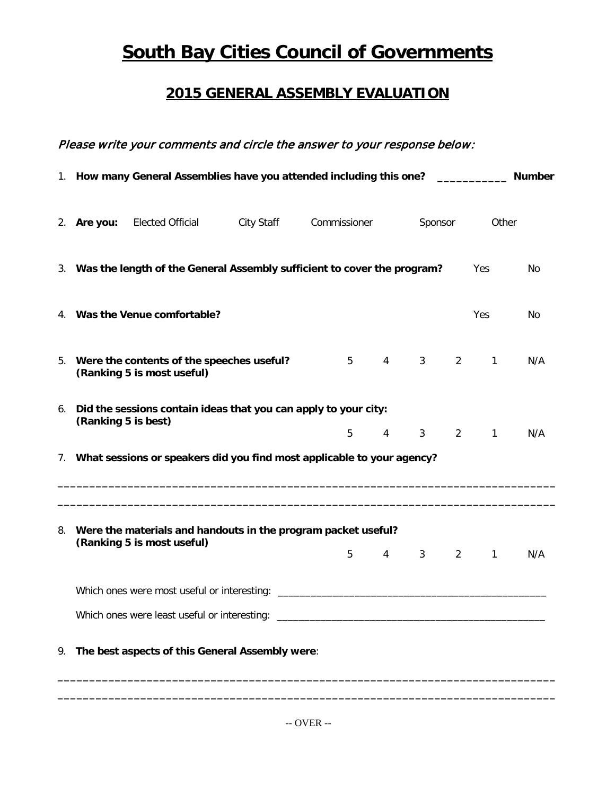## **South Bay Cities Council of Governments**

## **2015 GENERAL ASSEMBLY EVALUATION**

## Please write your comments and circle the answer to your response below:

| 1. How many General Assemblies have you attended including this one? __________<br><b>Number</b> |                                                                                                |  |              |   |                 |             |                |              |     |
|--------------------------------------------------------------------------------------------------|------------------------------------------------------------------------------------------------|--|--------------|---|-----------------|-------------|----------------|--------------|-----|
| 2. Are you:                                                                                      | Elected Official City Staff                                                                    |  | Commissioner |   |                 | Sponsor     |                | Other        |     |
|                                                                                                  | 3. Was the length of the General Assembly sufficient to cover the program?                     |  |              |   |                 |             |                | Yes          | No. |
|                                                                                                  | 4. Was the Venue comfortable?                                                                  |  |              |   |                 |             |                | <b>Yes</b>   | No. |
|                                                                                                  | 5. Were the contents of the speeches useful?<br>(Ranking 5 is most useful)                     |  |              |   | $5 \qquad 4$    | $3^{\circ}$ | $\overline{2}$ | $\mathbf{1}$ | N/A |
| (Ranking 5 is best)                                                                              | 6. Did the sessions contain ideas that you can apply to your city:                             |  |              | 5 | $\overline{4}$  | $3^{\circ}$ | $\overline{2}$ | $\sim$ 1     | N/A |
|                                                                                                  | 7. What sessions or speakers did you find most applicable to your agency?                      |  |              |   |                 |             |                |              |     |
|                                                                                                  | 8. Were the materials and handouts in the program packet useful?<br>(Ranking 5 is most useful) |  |              | 5 | $4\overline{ }$ | $3^{\circ}$ | $\overline{2}$ | $\mathbf{1}$ | N/A |
|                                                                                                  |                                                                                                |  |              |   |                 |             |                |              |     |
|                                                                                                  | Which ones were least useful or interesting: ___________________________________               |  |              |   |                 |             |                |              |     |
|                                                                                                  | 9. The best aspects of this General Assembly were:                                             |  |              |   |                 |             |                |              |     |

**\_\_\_\_\_\_\_\_\_\_\_\_\_\_\_\_\_\_\_\_\_\_\_\_\_\_\_\_\_\_\_\_\_\_\_\_\_\_\_\_\_\_\_\_\_\_\_\_\_\_\_\_\_\_\_\_\_\_\_\_\_\_\_\_\_\_\_\_\_\_\_\_\_\_\_\_\_\_ \_\_\_\_\_\_\_\_\_\_\_\_\_\_\_\_\_\_\_\_\_\_\_\_\_\_\_\_\_\_\_\_\_\_\_\_\_\_\_\_\_\_\_\_\_\_\_\_\_\_\_\_\_\_\_\_\_\_\_\_\_\_\_\_\_\_\_\_\_\_\_\_\_\_\_\_\_\_**